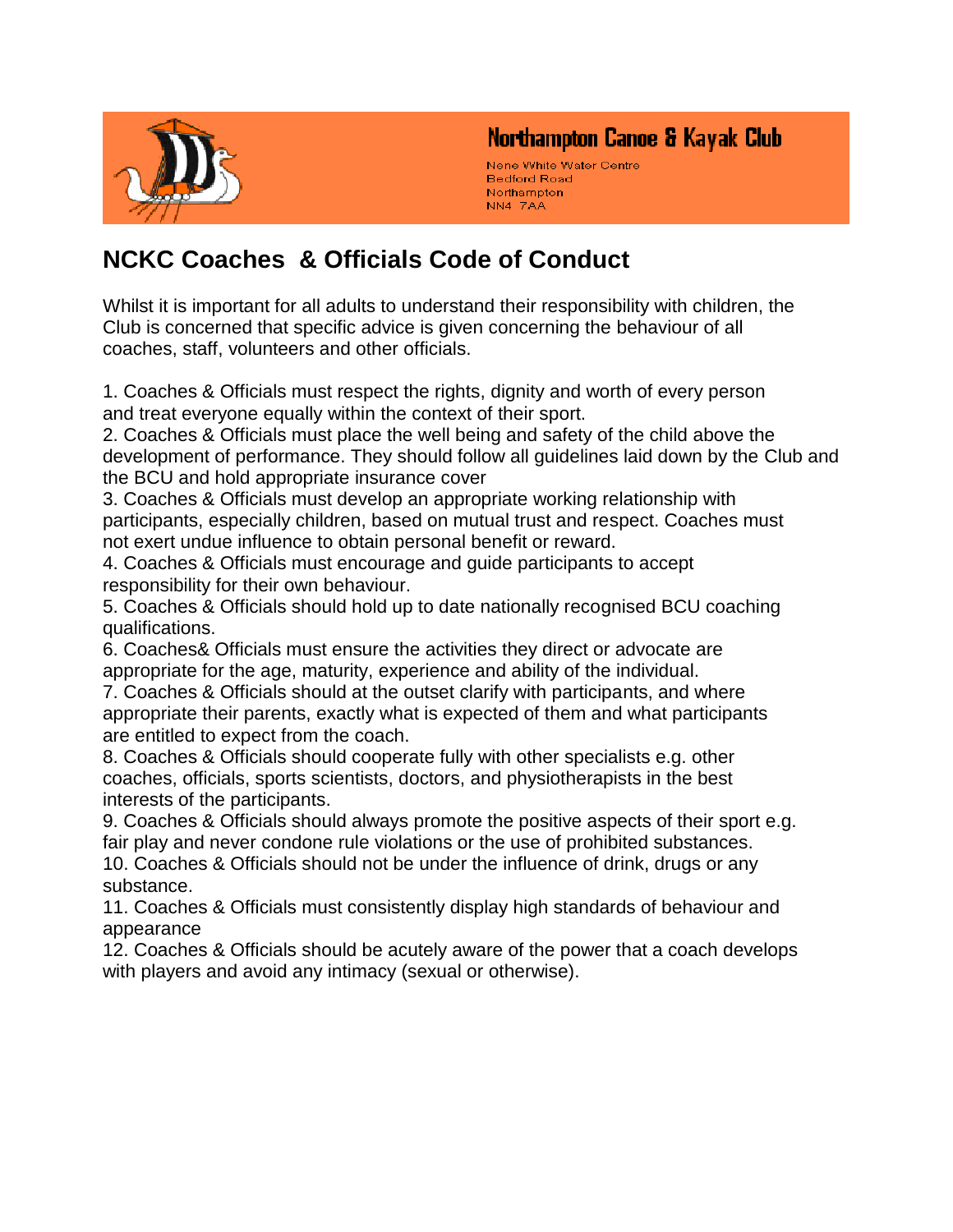

### Northampton Canoe & Kayak Club

Nene White Water Centre **Bedford Road** Northampton NN4 7AA

# **NCKC Coaches & Officials Code of Conduct**

Whilst it is important for all adults to understand their responsibility with children, the Club is concerned that specific advice is given concerning the behaviour of all coaches, staff, volunteers and other officials.

1. Coaches & Officials must respect the rights, dignity and worth of every person and treat everyone equally within the context of their sport.

2. Coaches & Officials must place the well being and safety of the child above the development of performance. They should follow all guidelines laid down by the Club and the BCU and hold appropriate insurance cover

3. Coaches & Officials must develop an appropriate working relationship with participants, especially children, based on mutual trust and respect. Coaches must not exert undue influence to obtain personal benefit or reward.

4. Coaches & Officials must encourage and guide participants to accept responsibility for their own behaviour.

5. Coaches & Officials should hold up to date nationally recognised BCU coaching qualifications.

6. Coaches& Officials must ensure the activities they direct or advocate are appropriate for the age, maturity, experience and ability of the individual.

7. Coaches & Officials should at the outset clarify with participants, and where appropriate their parents, exactly what is expected of them and what participants are entitled to expect from the coach.

8. Coaches & Officials should cooperate fully with other specialists e.g. other coaches, officials, sports scientists, doctors, and physiotherapists in the best interests of the participants.

9. Coaches & Officials should always promote the positive aspects of their sport e.g. fair play and never condone rule violations or the use of prohibited substances. 10. Coaches & Officials should not be under the influence of drink, drugs or any

substance. 11. Coaches & Officials must consistently display high standards of behaviour and

appearance

12. Coaches & Officials should be acutely aware of the power that a coach develops with players and avoid any intimacy (sexual or otherwise).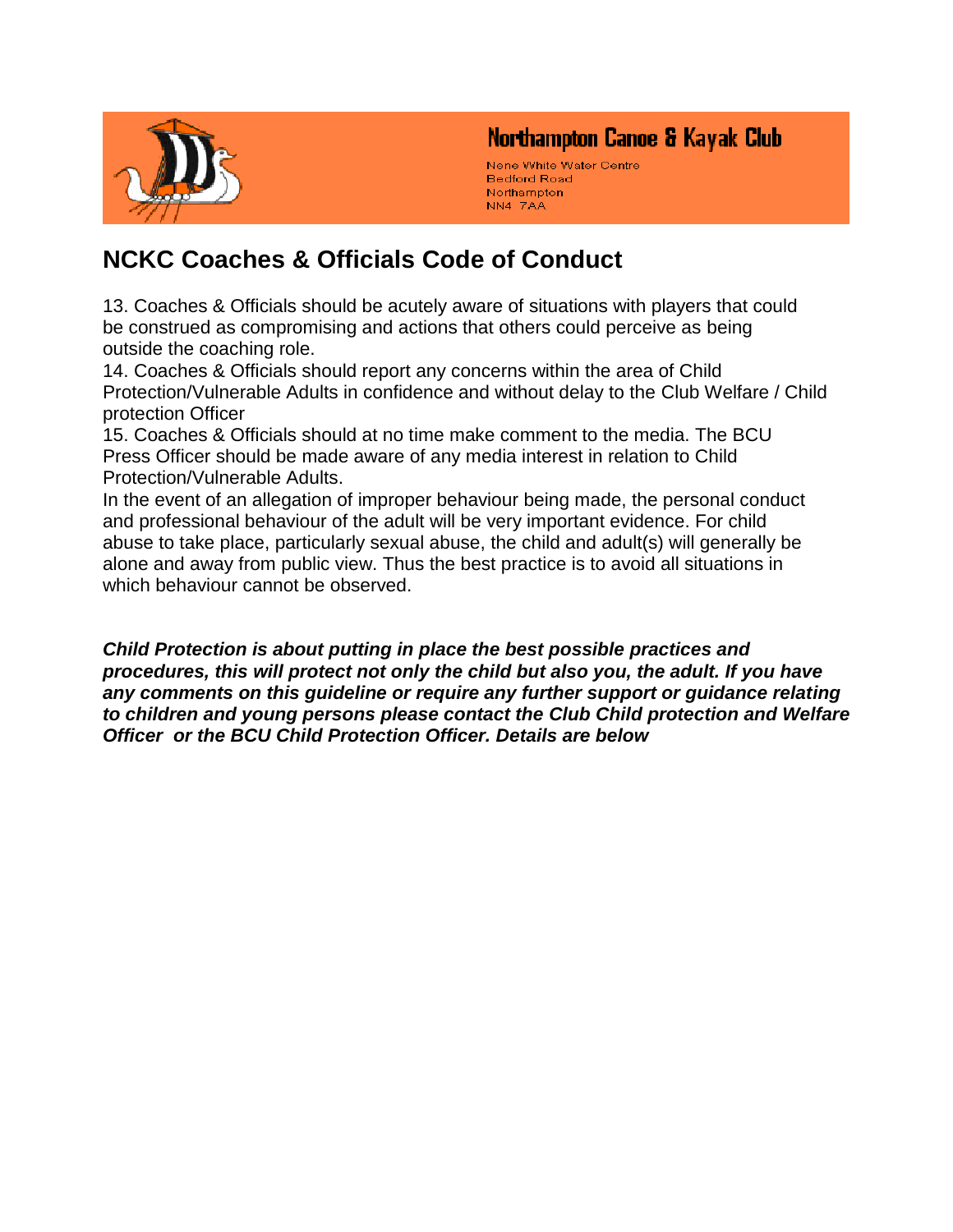

### Northampton Canoe & Kayak Club

Nene White Water Centre **Bedford Road** Northampton NN4 7AA

## **NCKC Coaches & Officials Code of Conduct**

13. Coaches & Officials should be acutely aware of situations with players that could be construed as compromising and actions that others could perceive as being outside the coaching role.

14. Coaches & Officials should report any concerns within the area of Child Protection/Vulnerable Adults in confidence and without delay to the Club Welfare / Child protection Officer

15. Coaches & Officials should at no time make comment to the media. The BCU Press Officer should be made aware of any media interest in relation to Child Protection/Vulnerable Adults.

In the event of an allegation of improper behaviour being made, the personal conduct and professional behaviour of the adult will be very important evidence. For child abuse to take place, particularly sexual abuse, the child and adult(s) will generally be alone and away from public view. Thus the best practice is to avoid all situations in which behaviour cannot be observed.

*Child Protection is about putting in place the best possible practices and procedures, this will protect not only the child but also you, the adult. If you have any comments on this guideline or require any further support or guidance relating to children and young persons please contact the Club Child protection and Welfare Officer or the BCU Child Protection Officer. Details are below*